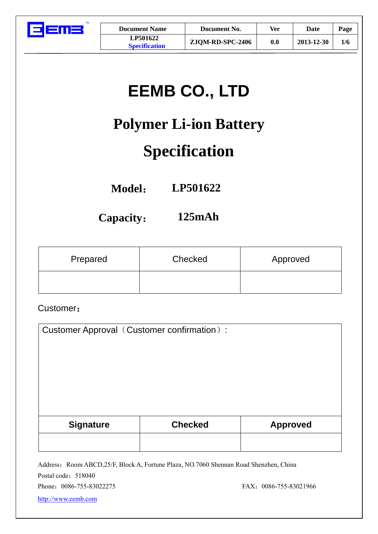

| <b>Document Name</b> |  |
|----------------------|--|
| LP501622             |  |
| Specification        |  |

# **EEMB CO., LTD**

# **Polymer Li-ion Battery**

## **Specification**

**Model**: **LP501622** 

**Capacity**: **125mAh** 

| Prepared | Checked | Approved |
|----------|---------|----------|
|          |         |          |

Customer:

| Customer Approval (Customer confirmation): |                |                 |
|--------------------------------------------|----------------|-----------------|
|                                            |                |                 |
|                                            |                |                 |
|                                            |                |                 |
|                                            |                |                 |
| <b>Signature</b>                           | <b>Checked</b> | <b>Approved</b> |
|                                            |                |                 |

Address: Room ABCD,25/F, Block A, Fortune Plaza, NO.7060 Shennan Road Shenzhen, China Postal code: 518040

Phone: 0086-755-83022275 FAX: 0086-755-83021966

[http://www.eemb.com](http://www.eemb.com/)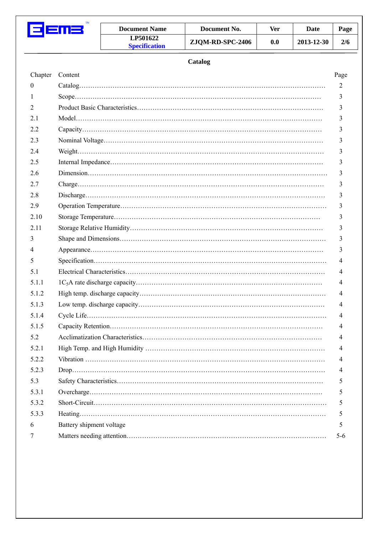| <b>Document Name</b>                    | Document No.     | Ver | Date       | Page |
|-----------------------------------------|------------------|-----|------------|------|
| <b>LP501622</b><br><b>Specification</b> | ZJQM-RD-SPC-2406 | 0.0 | 2013-12-30 | 2/6  |

#### **Catalog**

| Chapter      | Content                  | Page    |
|--------------|--------------------------|---------|
| $\mathbf{0}$ |                          | 2       |
| 1            |                          | 3       |
| 2            |                          | 3       |
| 2.1          |                          | 3       |
| 2.2          |                          | 3       |
| 2.3          |                          | 3       |
| 2.4          |                          | 3       |
| 2.5          |                          | 3       |
| 2.6          |                          | 3       |
| 2.7          |                          | 3       |
| 2.8          |                          | 3       |
| 2.9          |                          | 3       |
| 2.10         |                          | 3       |
| 2.11         |                          | 3       |
| 3            |                          | 3       |
| 4            |                          | 3       |
| 5            |                          | 4       |
| 5.1          |                          | 4       |
| 5.1.1        |                          | 4       |
| 5.1.2        |                          | 4       |
| 5.1.3        |                          | 4       |
| 5.1.4        |                          | 4       |
| 5.1.5        |                          | 4       |
| 5.2          |                          | 4       |
| 5.2.1        |                          | 4       |
| 5.2.2        |                          | 4       |
| 5.2.3        |                          | 4       |
| 5.3          |                          | 5       |
| 5.3.1        |                          | 5       |
| 5.3.2        |                          | 5       |
| 5.3.3        |                          | 5       |
| 6            | Battery shipment voltage | 5       |
| 7            |                          | $5 - 6$ |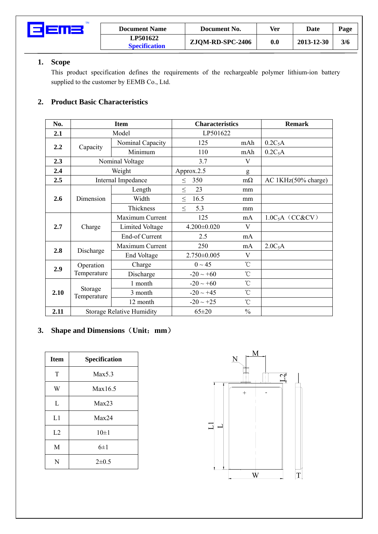

#### **1. Scope**

This product specification defines the requirements of the rechargeable polymer lithium-ion battery supplied to the customer by EEMB Co., Ltd.

#### **2. Product Basic Characteristics**

| No.  |                        | <b>Item</b>                      |                   | <b>Characteristics</b> |                     |
|------|------------------------|----------------------------------|-------------------|------------------------|---------------------|
| 2.1  |                        | Model                            |                   | LP501622               |                     |
| 2.2  |                        | Nominal Capacity                 | 125               | mAh                    | $0.2C_5A$           |
|      | Capacity               | Minimum                          | 110               | mAh                    | $0.2C_5A$           |
| 2.3  |                        | Nominal Voltage                  | 3.7               | V                      |                     |
| 2.4  |                        | Weight                           | Approx.2.5        | g                      |                     |
| 2.5  |                        | Internal Impedance               | 350<br>$\leq$     | $m\Omega$              | AC 1KHz(50% charge) |
|      |                        | Length                           | 23<br>$\leq$      | mm                     |                     |
| 2.6  | Dimension              | Width                            | 16.5<br>$\,<$     | mm                     |                     |
|      |                        | Thickness                        | 5.3<br>$<\,$      | mm                     |                     |
|      | Charge                 | Maximum Current                  | 125               | mA                     | $1.0C_5A$ (CC&CV)   |
| 2.7  |                        | Limited Voltage                  | $4.200 \pm 0.020$ | V                      |                     |
|      |                        | End-of Current                   | 2.5               | mA                     |                     |
| 2.8  | Discharge              | Maximum Current                  | 250               | mA                     | 2.0C <sub>5</sub> A |
|      |                        | End Voltage                      | 2.750±0.005       | V                      |                     |
| 2.9  | Operation              | Charge                           | $0 \sim 45$       | $\rm ^{\circ}C$        |                     |
|      | Temperature            | Discharge                        | $-20 \sim +60$    | $\rm ^{\circ}C$        |                     |
|      |                        | 1 month                          | $-20 \sim +60$    | $\rm ^{\circ}C$        |                     |
| 2.10 | Storage<br>Temperature | 3 month                          | $-20 \sim +45$    | $^{\circ}$ C           |                     |
|      |                        | 12 month                         | $-20 \sim +25$    | $^{\circ}$ C           |                     |
| 2.11 |                        | <b>Storage Relative Humidity</b> | $65 \pm 20$       | $\frac{0}{0}$          |                     |

#### **3. Shape and Dimensions**(**Unit**:**mm**)

| <b>Item</b> | Specification |
|-------------|---------------|
| T           | Max5.3        |
| W           | Max16.5       |
| L           | Max23         |
| L1          | Max24         |
| L2          | $10\pm1$      |
| M           | $6\pm1$       |
| ${\bf N}$   | $2 \pm 0.5$   |

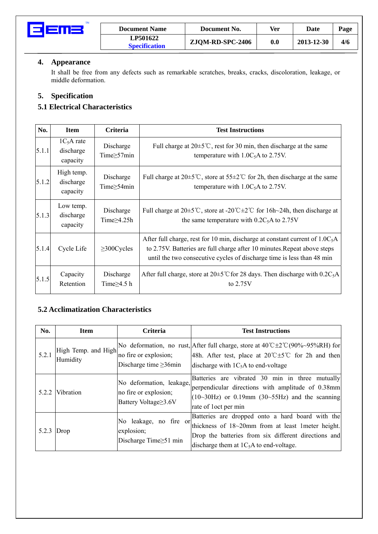

| <b>Document Name</b>                    | Document No.     | Ver | Date       | Page |
|-----------------------------------------|------------------|-----|------------|------|
| <b>LP501622</b><br><b>Specification</b> | ZJQM-RD-SPC-2406 | 0.0 | 2013-12-30 | 4/6  |

#### **4. Appearance**

It shall be free from any defects such as remarkable scratches, breaks, cracks, discoloration, leakage, or middle deformation.

### **5. Specification**

#### **5.1 Electrical Characteristics**

| No.   | <b>Item</b>                          | <b>Criteria</b>                | <b>Test Instructions</b>                                                                                                                                                                                                             |
|-------|--------------------------------------|--------------------------------|--------------------------------------------------------------------------------------------------------------------------------------------------------------------------------------------------------------------------------------|
| 5.1.1 | $1C5A$ rate<br>discharge<br>capacity | Discharge<br>Time $\geq$ 57min | Full charge at $20 \pm 5^{\circ}$ C, rest for 30 min, then discharge at the same<br>temperature with $1.0C_5$ A to 2.75V.                                                                                                            |
| 5.1.2 | High temp.<br>discharge<br>capacity  | Discharge<br>Time $\geq$ 54min | Full charge at $20\pm5^{\circ}$ C, store at $55\pm2^{\circ}$ C for 2h, then discharge at the same<br>temperature with $1.0C_5$ A to 2.75V.                                                                                           |
| 5.1.3 | Low temp.<br>discharge<br>capacity   | Discharge<br>Time $\geq$ 4.25h | Full charge at $20\pm 5^{\circ}$ C, store at $-20^{\circ}$ C $\pm 2^{\circ}$ C for 16h $\sim$ 24h, then discharge at<br>the same temperature with $0.2C_5A$ to 2.75V                                                                 |
| 5.1.4 | Cycle Life                           | $\geq$ 300Cycles               | After full charge, rest for 10 min, discharge at constant current of $1.0C_5A$<br>to 2.75V. Batteries are full charge after 10 minutes. Repeat above steps<br>until the two consecutive cycles of discharge time is less than 48 min |
| 5.1.5 | Capacity<br>Retention                | Discharge<br>Time $\geq$ 4.5 h | After full charge, store at $20\pm5\degree$ C for 28 days. Then discharge with $0.2C_5A$<br>to $2.75V$                                                                                                                               |

#### **5.2 Acclimatization Characteristics**

| No.   | <b>Item</b>                     | Criteria                                                                  | <b>Test Instructions</b>                                                                                                                                                                                                        |
|-------|---------------------------------|---------------------------------------------------------------------------|---------------------------------------------------------------------------------------------------------------------------------------------------------------------------------------------------------------------------------|
| 5.2.1 | High Temp. and High<br>Humidity | no fire or explosion;<br>Discharge time $\geq$ 36min                      | No deformation, no rust, After full charge, store at $40^{\circ}$ C $\pm 2^{\circ}$ C $(90\%~95\%RH)$ for<br>48h. After test, place at $20^{\circ}$ C $\pm 5^{\circ}$ C for 2h and then<br>discharge with $1C5A$ to end-voltage |
|       | 5.2.2 Vibration                 | No deformation, leakage,<br>no fire or explosion;<br>Battery Voltage≥3.6V | Batteries are vibrated 30 min in three mutually<br>perpendicular directions with amplitude of 0.38mm<br>$(10~30~Hz)$ or 0.19mm (30~55Hz) and the scanning<br>rate of loct per min                                               |
| 5.2.3 | Drop                            | No leakage, no fire or<br>explosion;<br>Discharge Time $\geq 51$ min      | Batteries are dropped onto a hard board with the<br>thickness of 18~20mm from at least 1meter height.<br>Drop the batteries from six different directions and<br>discharge them at $1C_5A$ to end-voltage.                      |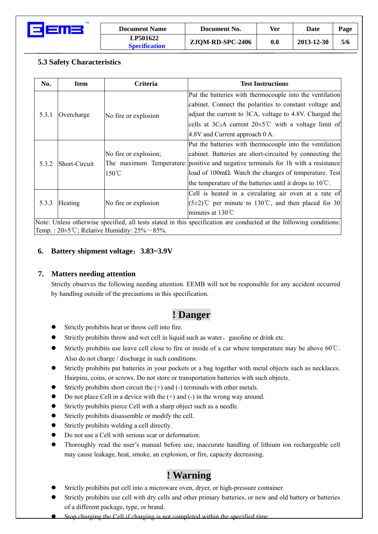

| <b>Document Name</b>                    | Document No.     | Ver | Date       | Page |
|-----------------------------------------|------------------|-----|------------|------|
| <b>LP501622</b><br><b>Specification</b> | ZJQM-RD-SPC-2406 | 0.0 | 2013-12-30 | 5/6  |

#### **5.3 Safety Characteristics**

| No.                                                                                                                 | <b>Item</b>   | <b>Criteria</b>       | <b>Test Instructions</b>                                                          |
|---------------------------------------------------------------------------------------------------------------------|---------------|-----------------------|-----------------------------------------------------------------------------------|
| 5.3.1                                                                                                               | Overcharge    | No fire or explosion  | Put the batteries with thermocouple into the ventilation                          |
|                                                                                                                     |               |                       | cabinet. Connect the polarities to constant voltage and                           |
|                                                                                                                     |               |                       | adjust the current to 3CA, voltage to 4.8V. Charged the                           |
|                                                                                                                     |               |                       | cells at $3C_5A$ current $20\pm5^{\circ}C$ with a voltage limit of                |
|                                                                                                                     |               |                       | 4.8V and Current approach 0 A.                                                    |
| 5.3.2                                                                                                               | Short-Circuit |                       | Put the batteries with thermocouple into the ventilation                          |
|                                                                                                                     |               | No fire or explosion; | cabinet. Batteries are short-circuited by connecting the                          |
|                                                                                                                     |               |                       | The maximum Temperature: positive and negative terminals for 1h with a resistance |
|                                                                                                                     |               | $150^{\circ}$ C       | load of 100m $\Omega$ . Watch the changes of temperature. Test                    |
|                                                                                                                     |               |                       | the temperature of the batteries until it drops to $10^{\circ}$ C.                |
| 5.3.3                                                                                                               | Heating       | No fire or explosion  | Cell is heated in a circulating air oven at a rate of                             |
|                                                                                                                     |               |                       | $(5\pm2)$ °C per minute to 130°C, and then placed for 30                          |
|                                                                                                                     |               |                       | minutes at $130^{\circ}$ C                                                        |
| Note: Unless otherwise specified, all tests stated in this specification are conducted at the following conditions: |               |                       |                                                                                   |
| Temp.: $20\pm5^{\circ}$ C; Relative Humidity: $25\% \sim 85\%$ .                                                    |               |                       |                                                                                   |

#### **6. Battery shipment voltage**:**3.83~3.9V**

#### **7. Matters needing attention**

Strictly observes the following needing attention. EEMB will not be responsible for any accident occurred by handling outside of the precautions in this specification.

### **! Danger**

- Strictly prohibits heat or throw cell into fire.
- Strictly prohibits throw and wet cell in liquid such as water, gasoline or drink etc.
- Strictly prohibits use leave cell close to fire or inside of a car where temperature may be above 60° $\mathbb{C}$ . Also do not charge / discharge in such conditions.
- Strictly prohibits put batteries in your pockets or a bag together with metal objects such as necklaces. Hairpins, coins, or screws. Do not store or transportation batteries with such objects.
- Strictly prohibits short circuit the  $(+)$  and  $(-)$  terminals with other metals.
- Do not place Cell in a device with the  $(+)$  and  $(-)$  in the wrong way around.
- Strictly prohibits pierce Cell with a sharp object such as a needle.
- Strictly prohibits disassemble or modify the cell.
- Strictly prohibits welding a cell directly.
- Do not use a Cell with serious scar or deformation.
- Thoroughly read the user's manual before use, inaccurate handling of lithium ion rechargeable cell may cause leakage, heat, smoke, an explosion, or fire, capacity decreasing.

## **! Warning**

- Strictly prohibits put cell into a microware oven, dryer, or high-pressure container.
- Strictly prohibits use cell with dry cells and other primary batteries, or new and old battery or batteries of a different package, type, or brand.
- Stop charging the Cell if charging is not completed within the specified time.